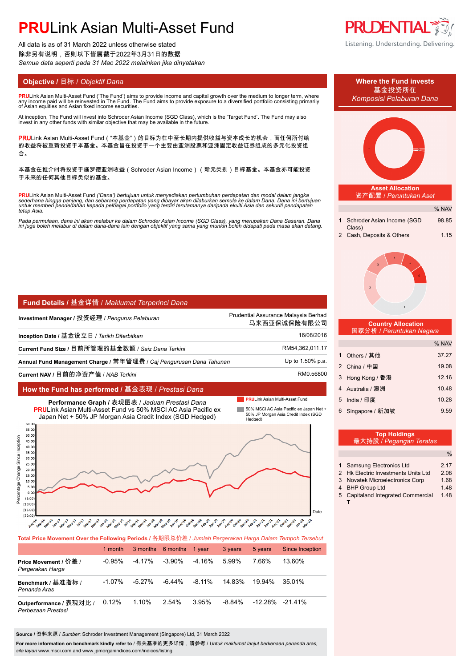# **PRU**Link Asian Multi-Asset Fund

All data is as of 31 March 2022 unless otherwise stated 除非另有说明,否则以下皆属截于2022年3月31日的数据 *Semua data seperti pada 31 Mac 2022 melainkan jika dinyatakan*

**PRU**Link Asian Multi-Asset Fund ('The Fund') aims to provide income and capital growth over the medium to longer term, where any income paid will be reinvested in The Fund. The Fund aims to provide exposure to a diversified portfolio consisting primarily of Asian equities and Asian fixed income securities.

At inception, The Fund will invest into Schroder Asian Income (SGD Class), which is the 'Target Fund'. The Fund may also<br>invest in any other funds with similar objective that may be available in the future.

PRULink Asian Multi-Asset Fund ( "本基金" ) 的目标为在中至长期内提供收益与资本成长的机会,而任何所付给 的收益将被重新投资于本基金。本基金旨在投资于一个主要由亚洲股票和亚洲固定收益证券组成的多元化投资组 合。

本基金在推介时将投资于施罗德亚洲收益(Schroder Asian Income)(新元类别)目标基金。本基金亦可能投资 于未来的任何其他目标类似的基金。

**PRU**Link Asian Multi-Asset Fund *('Dana') bertujuan untuk menyediakan pertumbuhan perdapatan dan modal dalam jangka*  sederhana hingga panjang, dan sebarang perdapatan yang dibayar akan dilaburkan semula ke dalam Dana. Dana ini bertujuan<br>untuk memberi pendedahan kepada pelbagai portfolio yang terdiri terutamanya daripada ekuiti Asia dan s *tetap Asia.*

Pada permulaan, dana ini akan melabur ke dalam Schroder Asian Income (SGD Class), yang merupakan Dana Sasaran. Dana<br>ini juga boleh melabur di dalam dana-dana lain dengan objektif yang sama yang munkin boleh didapati pada m

## **Fund Details /** 基金详情 / *Maklumat Terperinci Dana*

| Investment Manager / 投资经理 / Pengurus Pelaburan                      | Prudential Assurance Malaysia Berhad<br>马来西亚保诚保险有限公司 |
|---------------------------------------------------------------------|------------------------------------------------------|
| Inception Date / 基金设立日 / Tarikh Diterbitkan                         | 16/08/2016                                           |
| Current Fund Size / 目前所管理的基金数额 / Saiz Dana Terkini                  | RM54.362.011.17                                      |
| Annual Fund Management Charge / 常年管理费 / Caj Pengurusan Dana Tahunan | Up to 1.50% p.a.                                     |
| Current NAV / 目前的净资产值 / NAB Terkini                                 | RM0.56800                                            |

### **How the Fund has performed /** 基金表现 / *Prestasi Dana*



**Total Price Movement Over the Following Periods /** 各期限总价差 / *Jumlah Pergerakan Harga Dalam Tempoh Tersebut*

|                                               | 1 month   |        | 3 months 6 months 1 year |        | 3 years | 5 years               | <b>Since Inception</b> |
|-----------------------------------------------|-----------|--------|--------------------------|--------|---------|-----------------------|------------------------|
| Price Movement / 价差 /<br>Pergerakan Harga     | $-0.95%$  | -4.17% | -3.90%                   | -4.16% | 5.99%   | 7.66%                 | 13.60%                 |
| Benchmark / 基准指标 /<br>Penanda Aras            | $-1.07\%$ | -5.27% | -6.44%                   | -8.11% | 14.83%  | 19.94%                | 35.01%                 |
| Outperformance / 表现对比 /<br>Perbezaan Prestasi | 0.12%     | 1.10%  | 2.54%                    | 3.95%  | -8.84%  | $-12.28\%$ $-21.41\%$ |                        |

**Source /** 资料来源 / *Sumber*: Schroder Investment Management (Singapore) Ltd, 31 March 2022

**For more information on benchmark kindly refer to** / 有关基准的更多详情,请参考 / *Untuk maklumat lanjut berkenaan penanda aras, sila layari* www.msci.com and www.jpmorganindices.com/indices/listing





| 1 Samsung Electronics Ltd           | 2.17 |
|-------------------------------------|------|
| 2 Hk Electric Investments Units Ltd | 2.08 |
| 3 Novatek Microelectronics Corp     | 1.68 |

- 4 BHP Group Ltd 1.48
- 5 Capitaland Integrated Commercial 1.48
- T

Date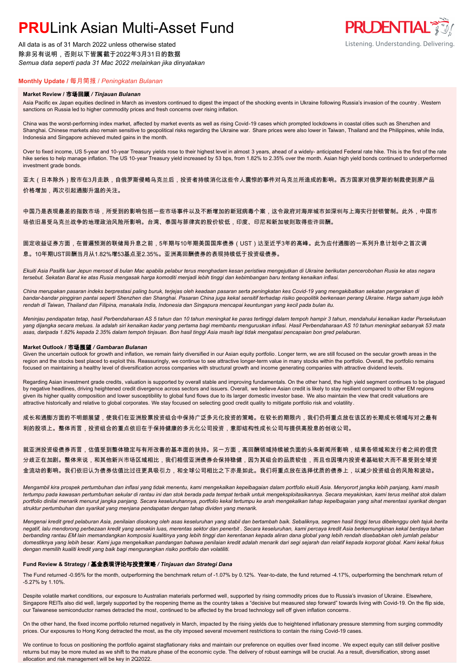# **PRUL** ink Asian Multi-Asset Fund

All data is as of 31 March 2022 unless otherwise stated 除非另有说明,否则以下皆属截于2022年3月31日的数据 *Semua data seperti pada 31 Mac 2022 melainkan jika dinyatakan*



# **Monthly Update /** 每月简报 / *Peningkatan Bulanan*

### **Market Review /** 市场回顾 */ Tinjauan Bulanan*

Asia Pacific ex Japan equities declined in March as investors continued to digest the impact of the shocking events in Ukraine following Russia's invasion of the country . Western sanctions on Russia led to higher commodity prices and fresh concerns over rising inflation.

China was the worst-performing index market, affected by market events as well as rising Covid-19 cases which prompted lockdowns in coastal cities such as Shenzhen and Shanghai. Chinese markets also remain sensitive to geopolitical risks regarding the Ukraine war. Share prices were also lower in Taiwan, Thailand and the Philippines, while India, Indonesia and Singapore achieved muted gains in the month.

Over to fixed income, US 5-year and 10-year Treasury yields rose to their highest level in almost 3 years, ahead of a widely- anticipated Federal rate hike. This is the first of the rate hike series to help manage inflation. The US 10-year Treasury yield increased by 53 bps, from 1.82% to 2.35% over the month. Asian high yield bonds continued to underperformed investment grade bonds.

亚太(日本除外)股市在3月走跌,自俄罗斯侵略乌克兰后,投资者持续消化这些令人震惊的事件对乌克兰所造成的影响。西方国家对俄罗斯的制裁使到原产品 价格增加,再次引起通膨升温的关注。

中国乃是表现最差的指数市场,所受到的影响包括一些市场事件以及不断增加的新冠病毒个案,这令政府对海岸城市如深圳与上海实行封锁管制。此外,中国市 场依旧易受乌克兰战争的地理政治风险所影响。台湾、泰国与菲律宾的股价较低,印度、印尼和新加坡则取得些许回酬。

## 固定收益证券方面,在普遍预测的联储局升息之前,5年期与10年期美国国库债券(UST)达至近乎3年的高峰。此为应付通膨的一系列升息计划中之首次调 息。10年期UST回酬当月从1.82%增53基点至2.35%。亚洲高回酬债券的表现持续低于投资级债券。

*Ekuiti Asia Pasifik luar Jepun merosot di bulan Mac apabila pelabur terus menghadam kesan peristiwa mengejutkan di Ukraine berikutan pencerobohan Rusia ke atas negara tersebut. Sekatan Barat ke atas Rusia mengasak harga komoditi menjadi lebih tinggi dan kebimbangan baru tentang kenaikan inflasi.*

*China merupakan pasaran indeks berprestasi paling buruk, terjejas oleh keadaan pasaran serta peningkatan kes Covid-19 yang mengakibatkan sekatan pergerakan di bandar-bandar pinggiran pantai seperti Shenzhen dan Shanghai. Pasaran China juga kekal sensitif terhadap risiko geopolitik berkenaan perang Ukraine. Harga saham juga lebih rendah di Taiwan, Thailand dan Filipina, manakala India, Indonesia dan Singapura mencapai keuntungan yang kecil pada bulan itu.*

*Meninjau pendapatan tetap, hasil Perbendaharaan AS 5 tahun dan 10 tahun meningkat ke paras tertinggi dalam tempoh hampir 3 tahun, mendahului kenaikan kadar Persekutuan yang dijangka secara meluas. Ia adalah siri kenaikan kadar yang pertama bagi membantu menguruskan inflasi. Hasil Perbendaharaan AS 10 tahun meningkat sebanyak 53 mata asas, daripada 1.82% kepada 2.35% dalam tempoh tinjauan. Bon hasil tinggi Asia masih lagi tidak mengatasi pencapaian bon gred pelaburan.*

#### **Market Outlook /** 市场展望 */ Gambaran Bulanan*

Given the uncertain outlook for growth and inflation, we remain fairly diversified in our Asian equity portfolio. Longer term, we are still focused on the secular growth areas in the region and the stocks best placed to exploit this. Reassuringly, we continue to see attractive longer-term value in many stocks within the portfolio. Overall, the portfolio remains focused on maintaining a healthy level of diversification across companies with structural growth and income generating companies with attractive dividend levels.

Regarding Asian investment grade credits, valuation is supported by overall stable and improving fundamentals. On the other hand, the high yield segment continues to be plagued by negative headlines, driving heightened credit divergence across sectors and issuers. Overall, we believe Asian credit is likely to stay resilient compared to other EM regions given its higher quality composition and lower susceptibility to global fund flows due to its larger domestic investor base. We also maintain the view that credit valuations are attractive historically and relative to global corporates. We stay focused on selecting good credit quality to mitigate portfolio risk and volatility.

成长和通膨方面的不明朗展望,使我们在亚洲股票投资组合中保持广泛多元化投资的策略。在较长的期限内,我们仍将重点放在该区的长期成长领域与对之最有 利的股项上。整体而言,投资组合的重点依旧在于保持健康的多元化公司投资,意即结构性成长公司与提供高股息的创收公司。

```
就亚洲投资级债券而言,估值受到整体稳定与有所改善的基本面的扶持。另一方面,高回酬领域持续被负面的头条新闻所影响,结果各领域和发行者之间的信贷
分歧正在加剧。整体来说,和其他新兴市场区域相比,我们相信亚洲债券会保持稳健,因为其组合的品质较佳,而且也因境内投资者基础较大而不易受到全球资
金流动的影响。我们依旧认为债券估值比过往更具吸引力,和全球公司相比之下亦是如此。我们将重点放在选择优质的债券上,以减少投资组合的风险和波动。
```
*Mengambil kira prospek pertumbuhan dan inflasi yang tidak menentu, kami mengekalkan kepelbagaian dalam portfolio ekuiti Asia. Menyorort jangka lebih panjang, kami masih tertumpu pada kawasan pertumbuhan sekular di rantau ini dan stok berada pada tempat terbaik untuk mengeksploitasikannya. Secara meyakinkan, kami terus melihat stok dalam portfolio dinilai menarik menurut jangka panjang. Secara keseluruhannya, portfolio kekal tertumpu ke arah mengekalkan tahap kepelbagaian yang sihat merentasi syarikat dengan struktur pertumbuhan dan syarikat yang menjana pendapatan dengan tahap dividen yang menarik.*

*Mengenai kredit gred pelaburan Asia, penilaian disokong oleh asas keseluruhan yang stabil dan bertambah baik. Sebaliknya, segmen hasil tinggi terus dibelenggu oleh tajuk berita negatif, lalu mendorong perbezaan kredit yang semakin luas, merentas sektor dan penerbit . Secara keseluruhan, kami percaya kredit Asia berkemungkinan kekal berdaya tahan berbanding rantau EM lain memandangkan komposisi kualitinya yang lebih tinggi dan kerentanan kepada aliran dana global yang lebih rendah disebabkan oleh jumlah pelabur domestiknya yang lebih besar. Kami juga mengekalkan pandangan bahawa penilaian kredit adalah menarik dari segi sejarah dan relatif kepada korporat global. Kami kekal fokus dengan memilih kualiti kredit yang baik bagi mengurangkan risiko portfolio dan volatiliti.*

### **Fund Review & Strategy /** 基金表现评论与投资策略 */ Tinjauan dan Strategi Dana*

The Fund returned -0.95% for the month, outperforming the benchmark return of -1.07% by 0.12%. Year-to-date, the fund returned -4.17%, outperforming the benchmark return of -5.27% by 1.10%.

Despite volatile market conditions, our exposure to Australian materials performed well, supported by rising commodity prices due to Russia's invasion of Ukraine. Elsewhere, Singapore REITs also did well, largely supported by the reopening theme as the country takes a "decisive but measured step forward" towards living with Covid-19. On the flip side, our Taiwanese semiconductor names detracted the most, continued to be affected by the broad technology sell off given inflation concerns.

On the other hand, the fixed income portfolio returned negatively in March, impacted by the rising yields due to heightened inflationary pressure stemming from surging commodity prices. Our exposures to Hong Kong detracted the most, as the city imposed several movement restrictions to contain the rising Covid-19 cases.

We continue to focus on positioning the portfolio against stagflationary risks and maintain our preference on equities over fixed income . We expect equity can still deliver positive returns but may be more muted as we shift to the mature phase of the economic cycle. The delivery of robust earnings will be crucial. As a result, diversification, strong asset allocation and risk management will be key in 2Q2022.